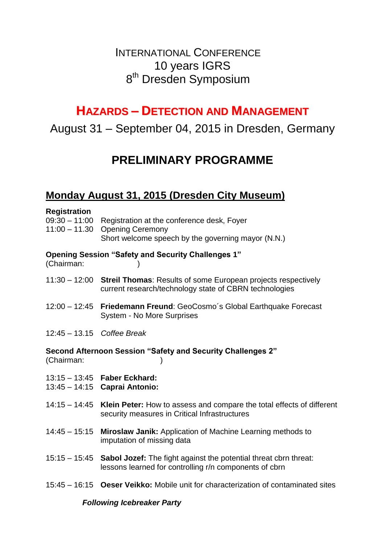# INTERNATIONAL CONFERENCE 10 years IGRS 8<sup>th</sup> Dresden Symposium

# **HAZARDS – DETECTION AND MANAGEMENT**

August 31 – September 04, 2015 in Dresden, Germany

# **PRELIMINARY PROGRAMME**

### **Monday August 31, 2015 (Dresden City Museum)**

#### **Registration**

| 09:30 - 11:00 Registration at the conference desk, Foyer |
|----------------------------------------------------------|
| $11:00 - 11.30$ Opening Ceremony                         |
| Short welcome speech by the governing mayor (N.N.)       |

#### **Opening Session "Safety and Security Challenges 1"**

(Chairman: )

- 11:30 12:00 **Streil Thomas**: Results of some European projects respectively current research/technology state of CBRN technologies
- 12:00 12:45 **Friedemann Freund**: GeoCosmo´s Global Earthquake Forecast System - No More Surprises
- 12:45 13.15 *Coffee Break*

**Second Afternoon Session "Safety and Security Challenges 2"** (Chairman: )

- 13:15 13:45 **Faber Eckhard:**
- 13:45 14:15 **Caprai Antonio:**
- 14:15 14:45 **Klein Peter:** How to assess and compare the total effects of different security measures in Critical Infrastructures
- 14:45 15:15 **Miroslaw Janik:** Application of Machine Learning methods to imputation of missing data
- 15:15 15:45 **Sabol Jozef:** The fight against the potential threat cbrn threat: lessons learned for controlling r/n components of cbrn
- 15:45 16:15 **Oeser Veikko:** Mobile unit for characterization of contaminated sites

#### *Following Icebreaker Party*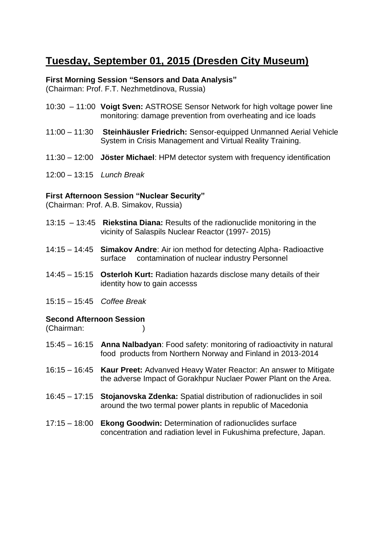## **Tuesday, September 01, 2015 (Dresden City Museum)**

#### **First Morning Session "Sensors and Data Analysis"**

(Chairman: Prof. F.T. Nezhmetdinova, Russia)

- 10:30 11:00 **Voigt Sven:** ASTROSE Sensor Network for high voltage power line monitoring: damage prevention from overheating and ice loads
- 11:00 11:30 **Steinhäusler Friedrich:** Sensor-equipped Unmanned Aerial Vehicle System in Crisis Management and Virtual Reality Training.
- 11:30 12:00 **Jöster Michael**: HPM detector system with frequency identification
- 12:00 13:15 *Lunch Break*

#### **First Afternoon Session "Nuclear Security"**

(Chairman: Prof. A.B. Simakov, Russia)

- 13:15 13:45 **Riekstina Diana:** Results of the radionuclide monitoring in the vicinity of Salaspils Nuclear Reactor (1997- 2015)
- 14:15 14:45 **Simakov Andre**: Air ion method for detecting Alpha- Radioactive surface contamination of nuclear industry Personnel
- 14:45 15:15 **Osterloh Kurt:** Radiation hazards disclose many details of their identity how to gain accesss
- 15:15 15:45 *Coffee Break*

#### **Second Afternoon Session**

(Chairman:

- 15:45 16:15 **Anna Nalbadyan**: Food safety: monitoring of radioactivity in natural food products from Northern Norway and Finland in 2013-2014
- 16:15 16:45 **Kaur Preet:** Advanved Heavy Water Reactor: An answer to Mitigate the adverse Impact of Gorakhpur Nuclaer Power Plant on the Area.
- 16:45 17:15 **Stojanovska Zdenka:** Spatial distribution of radionuclides in soil around the two termal power plants in republic of Macedonia
- 17:15 18:00 **Ekong Goodwin:** Determination of radionuclides surface concentration and radiation level in Fukushima prefecture, Japan.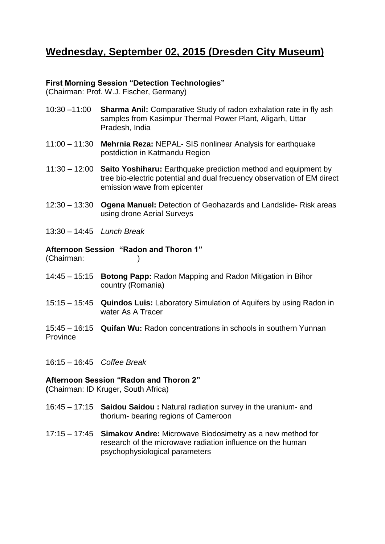### **Wednesday, September 02, 2015 (Dresden City Museum)**

#### **First Morning Session "Detection Technologies"**

(Chairman: Prof. W.J. Fischer, Germany)

- 10:30 –11:00 **Sharma Anil:** Comparative Study of radon exhalation rate in fly ash samples from Kasimpur Thermal Power Plant, Aligarh, Uttar Pradesh, India
- 11:00 11:30 **Mehrnia Reza:** NEPAL- SIS nonlinear Analysis for earthquake postdiction in Katmandu Region
- 11:30 12:00 **Saito Yoshiharu:** Earthquake prediction method and equipment by tree bio-electric potential and dual frecuency observation of EM direct emission wave from epicenter
- 12:30 13:30 **Ogena Manuel:** Detection of Geohazards and Landslide- Risk areas using drone Aerial Surveys
- 13:30 14:45 *Lunch Break*

#### **Afternoon Session "Radon and Thoron 1"**

(Chairman: )

- 14:45 15:15 **Botong Papp:** Radon Mapping and Radon Mitigation in Bihor country (Romania)
- 15:15 15:45 **Quindos Luis:** Laboratory Simulation of Aquifers by using Radon in water As A Tracer
- 15:45 16:15 **Quifan Wu:** Radon concentrations in schools in southern Yunnan **Province**
- 16:15 16:45 *Coffee Break*

#### **Afternoon Session "Radon and Thoron 2"**

**(**Chairman: ID Kruger, South Africa)

- 16:45 17:15 **Saidou Saidou :** Natural radiation survey in the uranium- and thorium- bearing regions of Cameroon
- 17:15 17:45 **Simakov Andre:** Microwave Biodosimetry as a new method for research of the microwave radiation influence on the human psychophysiological parameters